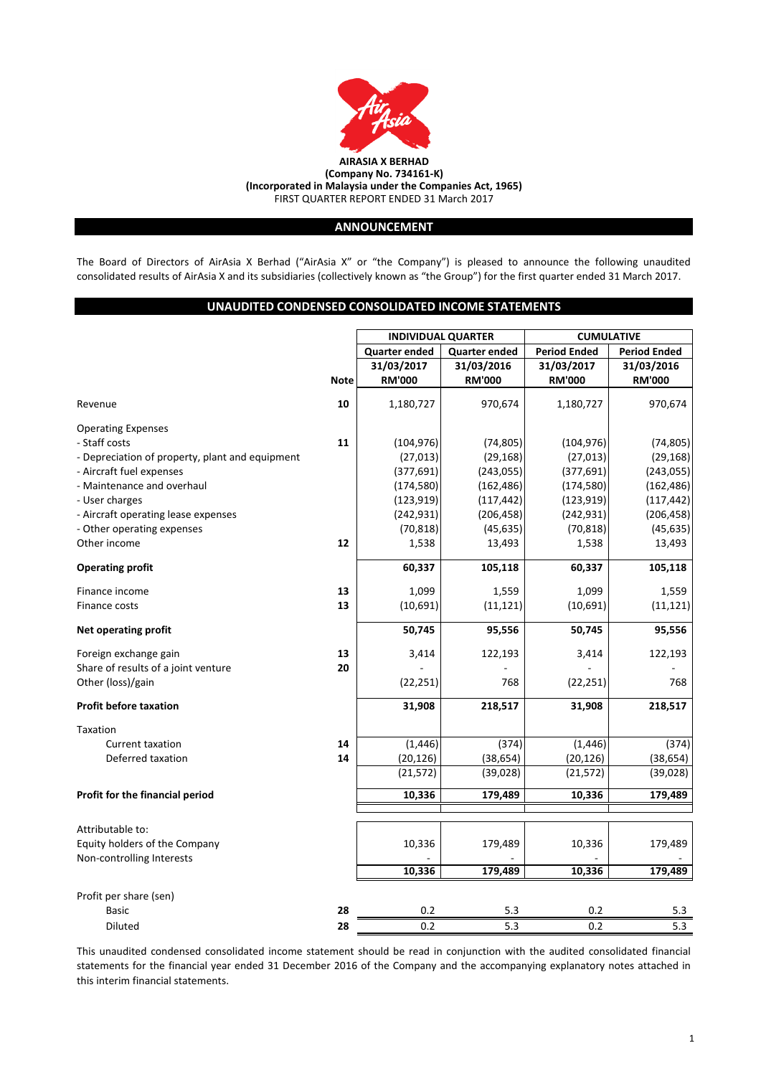

# **ANNOUNCEMENT**

The Board of Directors of AirAsia X Berhad ("AirAsia X" or "the Company") is pleased to announce the following unaudited consolidated results of AirAsia X and its subsidiaries (collectively known as "the Group") for the first quarter ended 31 March 2017.

# **UNAUDITED CONDENSED CONSOLIDATED INCOME STATEMENTS**

|                                                 |             | <b>INDIVIDUAL QUARTER</b> |                      | <b>CUMULATIVE</b>   |                     |  |
|-------------------------------------------------|-------------|---------------------------|----------------------|---------------------|---------------------|--|
|                                                 |             | <b>Quarter ended</b>      | <b>Quarter ended</b> | <b>Period Ended</b> | <b>Period Ended</b> |  |
|                                                 |             | 31/03/2017                | 31/03/2016           | 31/03/2017          | 31/03/2016          |  |
|                                                 | <b>Note</b> | <b>RM'000</b>             | <b>RM'000</b>        | <b>RM'000</b>       | <b>RM'000</b>       |  |
|                                                 |             |                           |                      |                     |                     |  |
| Revenue                                         | 10          | 1,180,727                 | 970,674              | 1,180,727           | 970,674             |  |
| <b>Operating Expenses</b>                       |             |                           |                      |                     |                     |  |
| - Staff costs                                   | 11          | (104, 976)                | (74, 805)            | (104, 976)          | (74, 805)           |  |
| - Depreciation of property, plant and equipment |             | (27, 013)                 | (29, 168)            | (27, 013)           | (29, 168)           |  |
| - Aircraft fuel expenses                        |             | (377, 691)                | (243, 055)           | (377, 691)          | (243, 055)          |  |
| - Maintenance and overhaul                      |             | (174, 580)                | (162, 486)           | (174, 580)          | (162, 486)          |  |
| - User charges                                  |             | (123, 919)                | (117, 442)           | (123, 919)          | (117, 442)          |  |
| - Aircraft operating lease expenses             |             | (242, 931)                | (206, 458)           | (242, 931)          | (206, 458)          |  |
| - Other operating expenses                      |             | (70, 818)                 | (45, 635)            | (70, 818)           | (45, 635)           |  |
| Other income                                    | 12          | 1,538                     | 13,493               | 1,538               | 13,493              |  |
| <b>Operating profit</b>                         |             | 60,337                    | 105,118              | 60,337              | 105,118             |  |
| Finance income                                  | 13          | 1,099                     | 1,559                | 1,099               | 1,559               |  |
| Finance costs                                   | 13          | (10, 691)                 | (11, 121)            | (10, 691)           | (11, 121)           |  |
| <b>Net operating profit</b>                     |             | 50,745                    | 95,556               | 50,745              | 95,556              |  |
| Foreign exchange gain                           | 13          | 3,414                     | 122,193              | 3,414               | 122,193             |  |
| Share of results of a joint venture             | 20          |                           |                      |                     |                     |  |
| Other (loss)/gain                               |             | (22, 251)                 | 768                  | (22, 251)           | 768                 |  |
| <b>Profit before taxation</b>                   |             | 31,908                    | 218,517              | 31,908              | 218,517             |  |
| <b>Taxation</b>                                 |             |                           |                      |                     |                     |  |
| <b>Current taxation</b>                         | 14          | (1, 446)                  | (374)                | (1, 446)            | (374)               |  |
| Deferred taxation                               | 14          | (20, 126)                 | (38, 654)            | (20, 126)           | (38, 654)           |  |
|                                                 |             | (21, 572)                 | (39, 028)            | (21, 572)           | (39, 028)           |  |
| Profit for the financial period                 |             | 10,336                    | 179,489              | 10,336              | 179,489             |  |
| Attributable to:                                |             |                           |                      |                     |                     |  |
| Equity holders of the Company                   |             | 10,336                    | 179,489              | 10,336              | 179,489             |  |
| Non-controlling Interests                       |             |                           |                      |                     |                     |  |
|                                                 |             | 10,336                    | 179,489              | 10,336              | 179,489             |  |
| Profit per share (sen)                          |             |                           |                      |                     |                     |  |
| <b>Basic</b>                                    | 28          | 0.2                       | 5.3                  | 0.2                 | 5.3                 |  |
| <b>Diluted</b>                                  | 28          | 0.2                       | 5.3                  | 0.2                 | 5.3                 |  |

This unaudited condensed consolidated income statement should be read in conjunction with the audited consolidated financial statements for the financial year ended 31 December 2016 of the Company and the accompanying explanatory notes attached in this interim financial statements.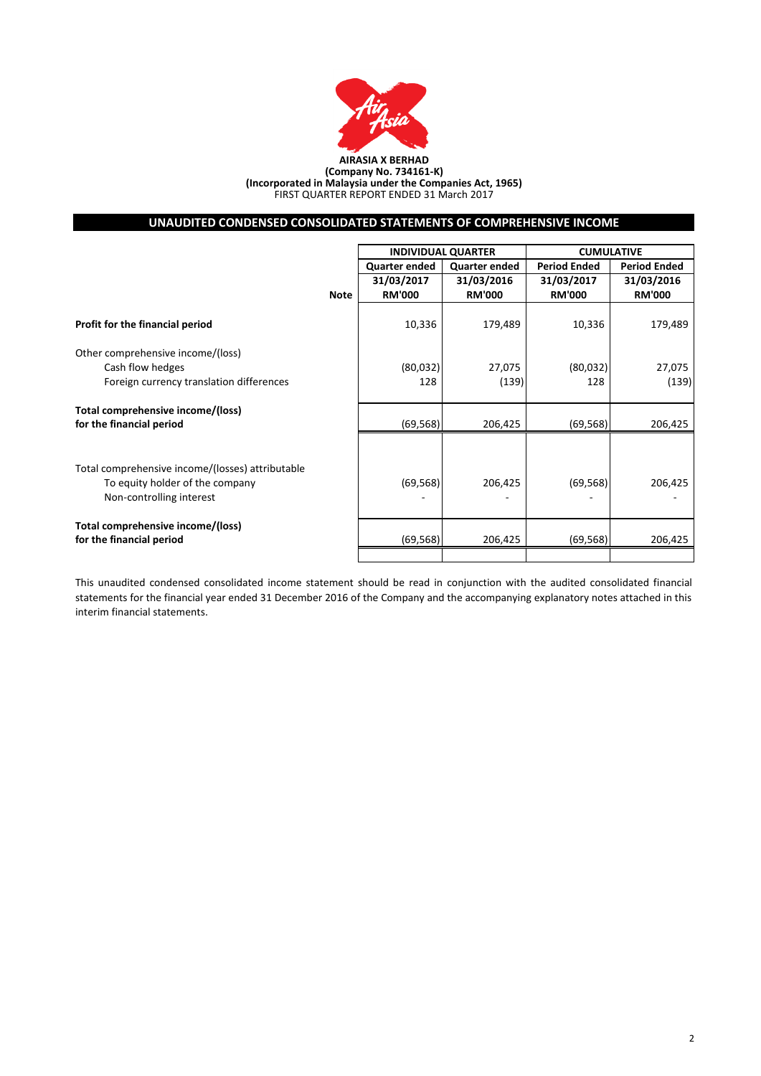

#### **AIRASIA X BERHAD (Company No. 734161-K) (Incorporated in Malaysia under the Companies Act, 1965)** FIRST QUARTER REPORT ENDED 31 March 2017

# **UNAUDITED CONDENSED CONSOLIDATED STATEMENTS OF COMPREHENSIVE INCOME**

|                                                  |             | <b>INDIVIDUAL QUARTER</b> |                      | <b>CUMULATIVE</b>   |                     |  |
|--------------------------------------------------|-------------|---------------------------|----------------------|---------------------|---------------------|--|
|                                                  |             | <b>Quarter ended</b>      | <b>Quarter ended</b> | <b>Period Ended</b> | <b>Period Ended</b> |  |
|                                                  |             | 31/03/2017                | 31/03/2016           | 31/03/2017          | 31/03/2016          |  |
|                                                  | <b>Note</b> | <b>RM'000</b>             | <b>RM'000</b>        | <b>RM'000</b>       | <b>RM'000</b>       |  |
| Profit for the financial period                  |             | 10,336                    | 179,489              | 10,336              | 179,489             |  |
| Other comprehensive income/(loss)                |             |                           |                      |                     |                     |  |
| Cash flow hedges                                 |             | (80,032)                  | 27,075               | (80,032)            | 27,075              |  |
| Foreign currency translation differences         |             | 128                       | (139)                | 128                 | (139)               |  |
| Total comprehensive income/(loss)                |             |                           |                      |                     |                     |  |
| for the financial period                         |             | (69, 568)                 | 206,425              | (69, 568)           | 206,425             |  |
|                                                  |             |                           |                      |                     |                     |  |
| Total comprehensive income/(losses) attributable |             |                           |                      |                     |                     |  |
| To equity holder of the company                  |             | (69, 568)                 | 206,425              | (69, 568)           | 206,425             |  |
| Non-controlling interest                         |             |                           |                      |                     |                     |  |
| Total comprehensive income/(loss)                |             |                           |                      |                     |                     |  |
| for the financial period                         |             | (69, 568)                 | 206,425              | (69, 568)           | 206,425             |  |
|                                                  |             |                           |                      |                     |                     |  |

This unaudited condensed consolidated income statement should be read in conjunction with the audited consolidated financial statements for the financial year ended 31 December 2016 of the Company and the accompanying explanatory notes attached in this interim financial statements.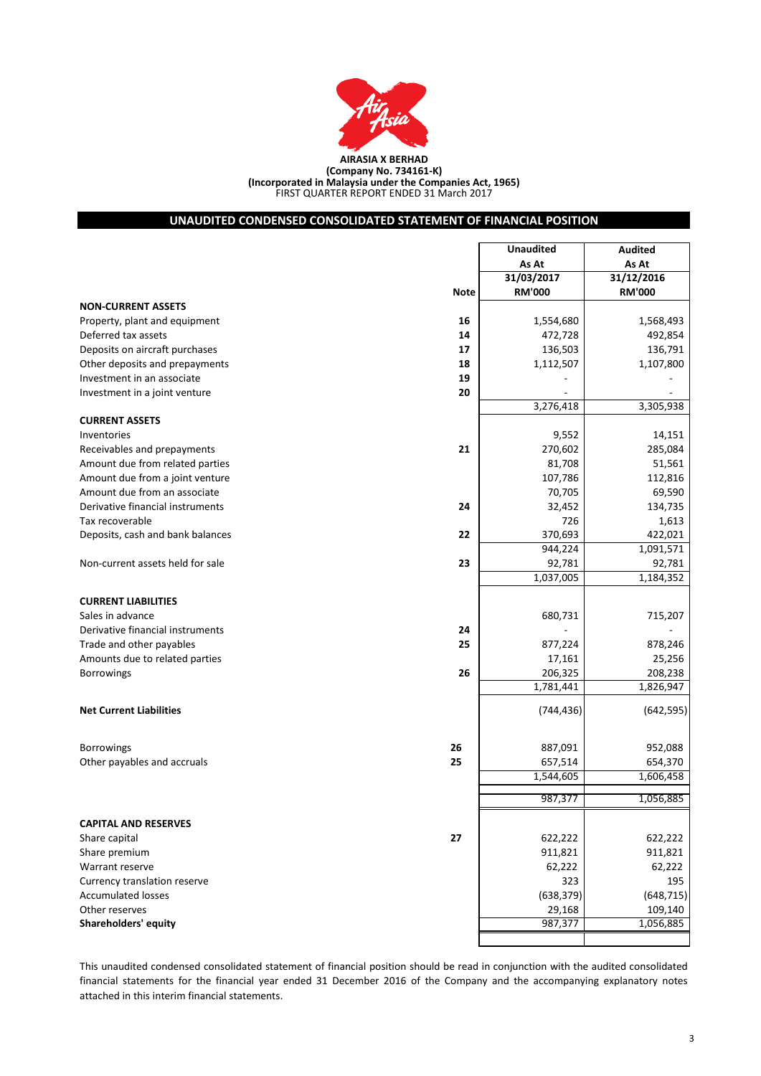

FIRST QUARTER REPORT ENDED 31 March 2017 **(Company No. 734161-K) (Incorporated in Malaysia under the Companies Act, 1965)**

# **UNAUDITED CONDENSED CONSOLIDATED STATEMENT OF FINANCIAL POSITION**

|                                                | <b>Unaudited</b>     | <b>Audited</b>       |
|------------------------------------------------|----------------------|----------------------|
|                                                | As At                | As At                |
|                                                | 31/03/2017           | 31/12/2016           |
| <b>Note</b>                                    | <b>RM'000</b>        | <b>RM'000</b>        |
| <b>NON-CURRENT ASSETS</b>                      |                      |                      |
| Property, plant and equipment<br>16            | 1,554,680            | 1,568,493            |
| Deferred tax assets<br>14                      | 472,728              | 492,854              |
| Deposits on aircraft purchases<br>17           | 136,503              | 136,791              |
| Other deposits and prepayments<br>18           | 1,112,507            | 1,107,800            |
| Investment in an associate<br>19               |                      |                      |
| 20<br>Investment in a joint venture            |                      |                      |
|                                                | 3,276,418            | 3,305,938            |
| <b>CURRENT ASSETS</b>                          |                      |                      |
| Inventories                                    | 9,552                | 14,151               |
| 21<br>Receivables and prepayments              | 270,602              | 285,084              |
| Amount due from related parties                | 81,708               | 51,561               |
| Amount due from a joint venture                | 107,786              | 112,816              |
| Amount due from an associate                   | 70,705               | 69,590               |
| Derivative financial instruments<br>24         | 32,452               | 134,735              |
| Tax recoverable                                | 726                  | 1,613                |
| Deposits, cash and bank balances<br>22         | 370,693              | 422,021              |
|                                                | 944,224              | 1,091,571            |
| 23<br>Non-current assets held for sale         | 92,781               | 92,781               |
|                                                | 1,037,005            | 1,184,352            |
|                                                |                      |                      |
| <b>CURRENT LIABILITIES</b><br>Sales in advance | 680,731              |                      |
|                                                |                      | 715,207              |
| Derivative financial instruments<br>24<br>25   |                      |                      |
| Trade and other payables                       | 877,224              | 878,246              |
| Amounts due to related parties<br>26           | 17,161               | 25,256               |
| <b>Borrowings</b>                              | 206,325<br>1,781,441 | 208,238<br>1,826,947 |
|                                                |                      |                      |
| <b>Net Current Liabilities</b>                 | (744, 436)           | (642, 595)           |
| 26<br><b>Borrowings</b>                        | 887,091              | 952,088              |
| Other payables and accruals<br>25              | 657,514              | 654,370              |
|                                                | 1,544,605            | 1,606,458            |
|                                                | 987,377              | 1,056,885            |
|                                                |                      |                      |
| <b>CAPITAL AND RESERVES</b>                    |                      |                      |
| 27<br>Share capital                            | 622,222              | 622,222              |
| Share premium                                  | 911,821              | 911,821              |
| Warrant reserve                                | 62,222               | 62,222               |
| Currency translation reserve                   | 323                  | 195                  |
| <b>Accumulated losses</b>                      | (638, 379)           | (648, 715)           |
| Other reserves                                 | 29,168               | 109,140              |
| <b>Shareholders' equity</b>                    | 987,377              | 1,056,885            |
|                                                |                      |                      |

This unaudited condensed consolidated statement of financial position should be read in conjunction with the audited consolidated financial statements for the financial year ended 31 December 2016 of the Company and the accompanying explanatory notes attached in this interim financial statements.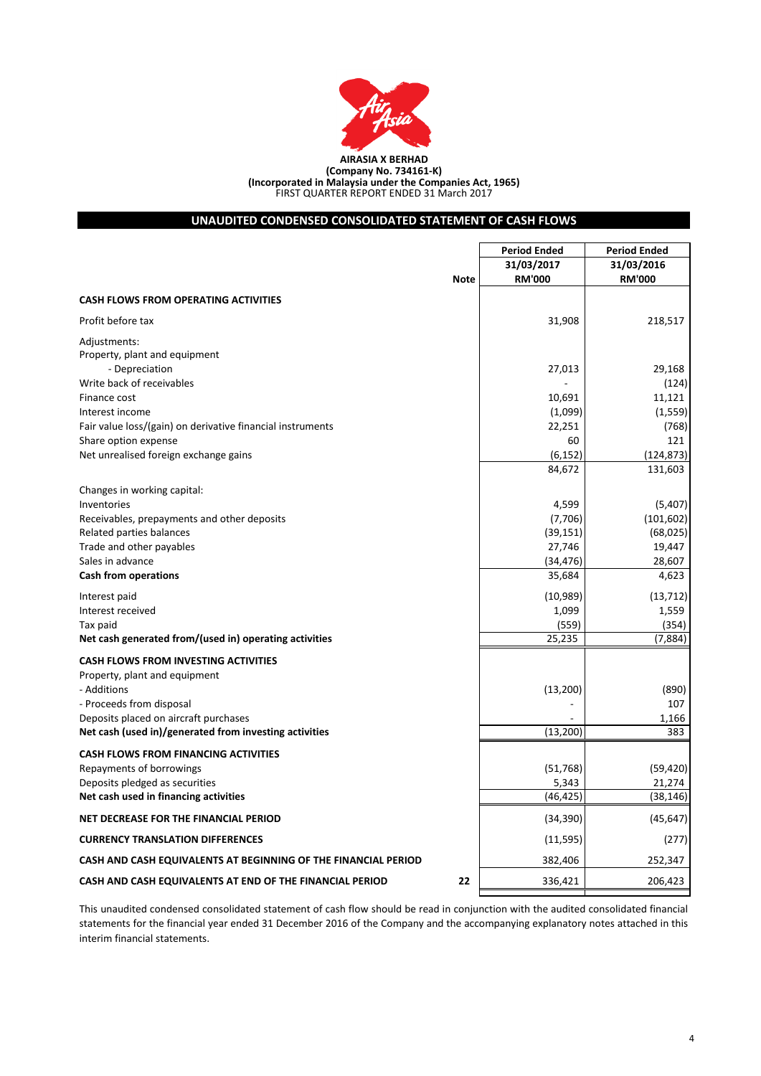

**(Company No. 734161-K) (Incorporated in Malaysia under the Companies Act, 1965)** FIRST QUARTER REPORT ENDED 31 March 2017

# **UNAUDITED CONDENSED CONSOLIDATED STATEMENT OF CASH FLOWS**

|                                                                                                 | <b>Period Ended</b> | <b>Period Ended</b> |
|-------------------------------------------------------------------------------------------------|---------------------|---------------------|
|                                                                                                 | 31/03/2017          | 31/03/2016          |
| <b>Note</b>                                                                                     | <b>RM'000</b>       | <b>RM'000</b>       |
| <b>CASH FLOWS FROM OPERATING ACTIVITIES</b>                                                     |                     |                     |
| Profit before tax                                                                               | 31,908              | 218,517             |
| Adjustments:<br>Property, plant and equipment                                                   |                     |                     |
| - Depreciation                                                                                  | 27,013              | 29,168              |
| Write back of receivables                                                                       |                     | (124)               |
| Finance cost                                                                                    | 10,691              | 11,121              |
| Interest income                                                                                 | (1,099)             | (1, 559)            |
| Fair value loss/(gain) on derivative financial instruments                                      | 22,251              | (768)               |
| Share option expense                                                                            | 60                  | 121                 |
| Net unrealised foreign exchange gains                                                           | (6, 152)            | (124, 873)          |
|                                                                                                 | 84,672              | 131,603             |
| Changes in working capital:                                                                     |                     |                     |
| Inventories                                                                                     | 4,599               | (5,407)             |
| Receivables, prepayments and other deposits                                                     | (7,706)             | (101, 602)          |
| Related parties balances                                                                        | (39, 151)           | (68, 025)           |
| Trade and other payables                                                                        | 27,746              | 19,447              |
| Sales in advance                                                                                | (34, 476)           | 28,607              |
| <b>Cash from operations</b>                                                                     | 35,684              | 4,623               |
| Interest paid                                                                                   | (10, 989)           | (13, 712)           |
| Interest received                                                                               | 1,099               | 1,559               |
| Tax paid                                                                                        | (559)               | (354)               |
| Net cash generated from/(used in) operating activities                                          | 25,235              | (7,884)             |
| <b>CASH FLOWS FROM INVESTING ACTIVITIES</b>                                                     |                     |                     |
| Property, plant and equipment                                                                   |                     |                     |
| - Additions                                                                                     | (13, 200)           | (890)               |
| - Proceeds from disposal                                                                        |                     | 107                 |
| Deposits placed on aircraft purchases<br>Net cash (used in)/generated from investing activities | (13, 200)           | 1,166<br>383        |
|                                                                                                 |                     |                     |
| <b>CASH FLOWS FROM FINANCING ACTIVITIES</b>                                                     |                     |                     |
| Repayments of borrowings                                                                        | (51, 768)           | (59, 420)           |
| Deposits pledged as securities<br>Net cash used in financing activities                         | 5,343<br>(46, 425)  | 21,274<br>(38, 146) |
|                                                                                                 |                     |                     |
| NET DECREASE FOR THE FINANCIAL PERIOD                                                           | (34, 390)           | (45, 647)           |
| <b>CURRENCY TRANSLATION DIFFERENCES</b>                                                         | (11, 595)           | (277)               |
| CASH AND CASH EQUIVALENTS AT BEGINNING OF THE FINANCIAL PERIOD                                  | 382,406             | 252,347             |
| CASH AND CASH EQUIVALENTS AT END OF THE FINANCIAL PERIOD<br>22                                  | 336,421             | 206,423             |

This unaudited condensed consolidated statement of cash flow should be read in conjunction with the audited consolidated financial statements for the financial year ended 31 December 2016 of the Company and the accompanying explanatory notes attached in this interim financial statements.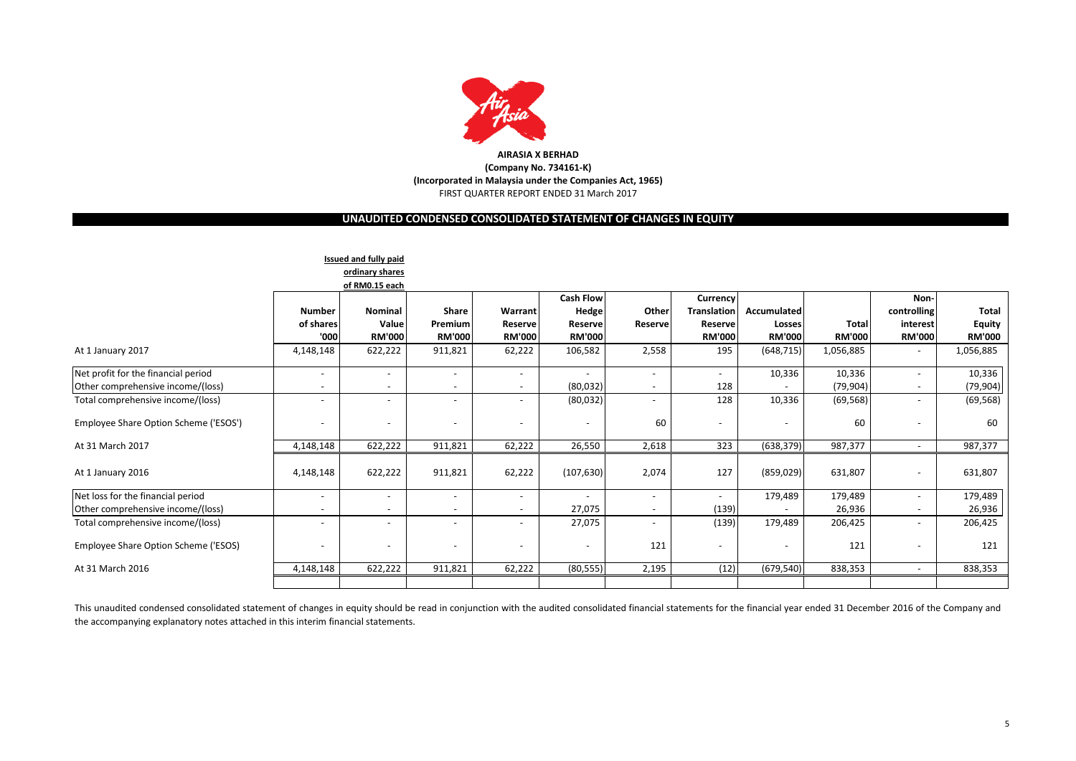

# **UNAUDITED CONDENSED CONSOLIDATED STATEMENT OF CHANGES IN EQUITY**

|                                       |                          | <b>Issued and fully paid</b> |                          |                          |                  |                          |                          |               |               |                          |               |
|---------------------------------------|--------------------------|------------------------------|--------------------------|--------------------------|------------------|--------------------------|--------------------------|---------------|---------------|--------------------------|---------------|
|                                       |                          | ordinary shares              |                          |                          |                  |                          |                          |               |               |                          |               |
|                                       |                          | of RM0.15 each               |                          |                          |                  |                          |                          |               |               |                          |               |
|                                       |                          |                              |                          |                          | <b>Cash Flow</b> |                          | Currency                 |               |               | Non-                     |               |
|                                       | <b>Number</b>            | <b>Nominal</b>               | <b>Share</b>             | Warrant                  | Hedge            | Other                    | <b>Translation</b>       | Accumulated   |               | controlling              | Total         |
|                                       | of shares                | Value                        | Premium                  | Reserve                  | Reserve          | Reserve                  | Reserve                  | Losses        | <b>Total</b>  | interest                 | <b>Equity</b> |
|                                       | '000                     | <b>RM'000</b>                | <b>RM'000</b>            | <b>RM'000</b>            | RM'000           |                          | <b>RM'000</b>            | <b>RM'000</b> | <b>RM'000</b> | <b>RM'000</b>            | <b>RM'000</b> |
| At 1 January 2017                     | 4,148,148                | 622,222                      | 911,821                  | 62,222                   | 106,582          | 2,558                    | 195                      | (648, 715)    | 1,056,885     | $\overline{\phantom{a}}$ | 1,056,885     |
| Net profit for the financial period   | $\overline{\phantom{a}}$ | $\overline{\phantom{a}}$     | $\overline{\phantom{a}}$ | $\overline{\phantom{a}}$ |                  | $\overline{\phantom{a}}$ | $\overline{\phantom{a}}$ | 10,336        | 10,336        | ۰                        | 10,336        |
| Other comprehensive income/(loss)     | $\overline{\phantom{a}}$ | $\overline{\phantom{a}}$     | $\overline{\phantom{a}}$ | $\overline{\phantom{a}}$ | (80,032)         | $\overline{\phantom{a}}$ | 128                      |               | (79,904)      | ۰                        | (79, 904)     |
| Total comprehensive income/(loss)     | $\sim$                   | $\overline{\phantom{a}}$     | $\overline{\phantom{m}}$ | $\overline{\phantom{0}}$ | (80,032)         | $\overline{\phantom{a}}$ | 128                      | 10,336        | (69, 568)     | ۰                        | (69, 568)     |
| Employee Share Option Scheme ('ESOS') | $\overline{\phantom{a}}$ | $\overline{\phantom{a}}$     | $\overline{\phantom{a}}$ | $\overline{\phantom{a}}$ |                  | 60                       | $\overline{\phantom{a}}$ |               | 60            | -                        | 60            |
| At 31 March 2017                      | 4,148,148                | 622,222                      | 911,821                  | 62,222                   | 26,550           | 2,618                    | 323                      | (638, 379)    | 987,377       | $\overline{\phantom{0}}$ | 987,377       |
| At 1 January 2016                     | 4,148,148                | 622,222                      | 911,821                  | 62,222                   | (107, 630)       | 2,074                    | 127                      | (859, 029)    | 631,807       | $\overline{\phantom{0}}$ | 631,807       |
| Net loss for the financial period     | $\overline{\phantom{a}}$ | $\overline{\phantom{a}}$     | $\overline{\phantom{a}}$ | $\overline{\phantom{a}}$ |                  | $\overline{\phantom{a}}$ | $\overline{\phantom{a}}$ | 179,489       | 179,489       | ۰                        | 179,489       |
| Other comprehensive income/(loss)     |                          | $\overline{\phantom{a}}$     |                          | $\overline{\phantom{0}}$ | 27,075           |                          | (139)                    |               | 26,936        | $\overline{\phantom{0}}$ | 26,936        |
| Total comprehensive income/(loss)     | $\sim$                   | $\overline{\phantom{a}}$     | $\overline{\phantom{m}}$ |                          | 27,075           | $\overline{\phantom{a}}$ | (139)                    | 179,489       | 206,425       | ۰                        | 206,425       |
| Employee Share Option Scheme ('ESOS)  |                          | $\overline{\phantom{a}}$     | $\overline{\phantom{a}}$ |                          |                  | 121                      |                          |               | 121           |                          | 121           |
| At 31 March 2016                      | 4,148,148                | 622,222                      | 911,821                  | 62,222                   | (80, 555)        | 2,195                    | (12)                     | (679, 540)    | 838,353       | $\sim$                   | 838,353       |
|                                       |                          |                              |                          |                          |                  |                          |                          |               |               |                          |               |

This unaudited condensed consolidated statement of changes in equity should be read in conjunction with the audited consolidated financial statements for the financial year ended 31 December 2016 of the Company and the accompanying explanatory notes attached in this interim financial statements.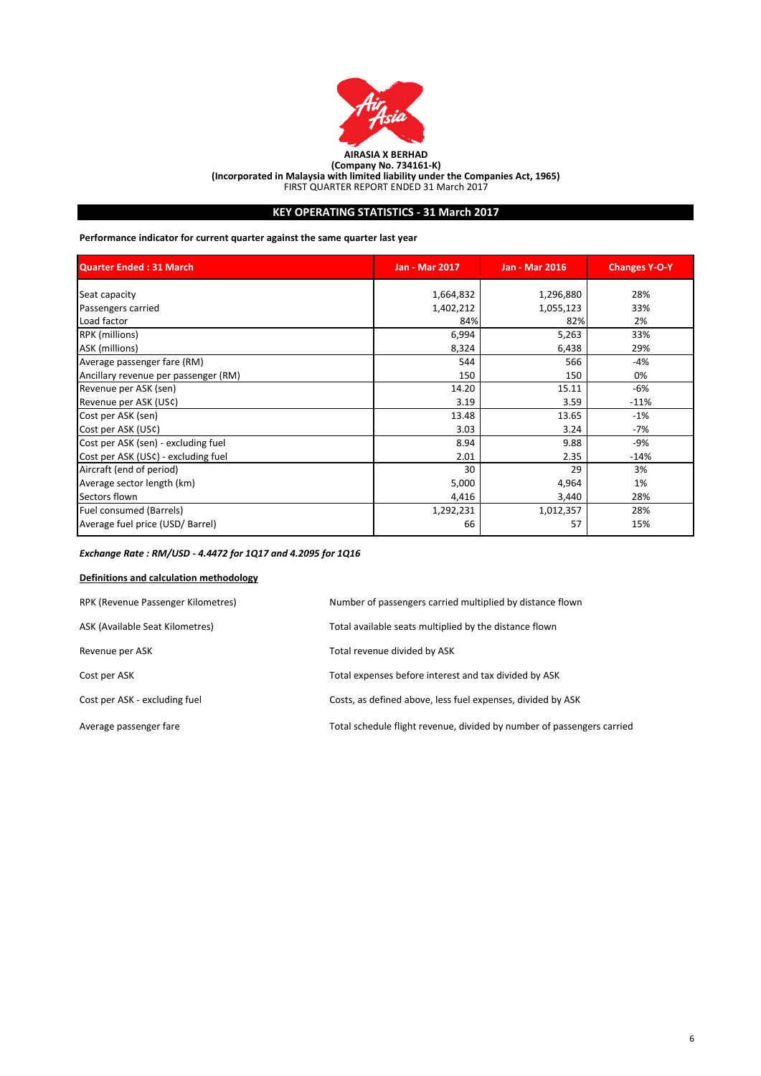

**(Incorporated in Malaysia with limited liability under the Companies Act, 1965)**

FIRST QUARTER REPORT ENDED 31 March 2017

# **KEY OPERATING STATISTICS - 31 March 2017**

**Performance indicator for current quarter against the same quarter last year**

| <b>Quarter Ended: 31 March</b>       | <b>Jan - Mar 2017</b> | <b>Jan - Mar 2016</b> | <b>Changes Y-O-Y</b> |
|--------------------------------------|-----------------------|-----------------------|----------------------|
| Seat capacity                        | 1,664,832             | 1,296,880             | 28%                  |
| Passengers carried                   | 1,402,212             | 1,055,123             | 33%                  |
| Load factor                          | 84%                   | 82%                   | 2%                   |
| <b>RPK</b> (millions)                | 6,994                 | 5,263                 | 33%                  |
| ASK (millions)                       | 8,324                 | 6,438                 | 29%                  |
| Average passenger fare (RM)          | 544                   | 566                   | $-4%$                |
| Ancillary revenue per passenger (RM) | 150                   | 150                   | 0%                   |
| Revenue per ASK (sen)                | 14.20                 | 15.11                 | -6%                  |
| Revenue per ASK (US¢)                | 3.19                  | 3.59                  | $-11%$               |
| Cost per ASK (sen)                   | 13.48                 | 13.65                 | $-1%$                |
| Cost per ASK (US¢)                   | 3.03                  | 3.24                  | $-7%$                |
| Cost per ASK (sen) - excluding fuel  | 8.94                  | 9.88                  | -9%                  |
| Cost per ASK (USC) - excluding fuel  | 2.01                  | 2.35                  | $-14%$               |
| Aircraft (end of period)             | 30                    | 29                    | 3%                   |
| Average sector length (km)           | 5,000                 | 4,964                 | 1%                   |
| Sectors flown                        | 4,416                 | 3,440                 | 28%                  |
| Fuel consumed (Barrels)              | 1,292,231             | 1,012,357             | 28%                  |
| Average fuel price (USD/ Barrel)     | 66                    | 57                    | 15%                  |

# *Exchange Rate : RM/USD - 4.4472 for 1Q17 and 4.2095 for 1Q16*

# **Definitions and calculation methodology**

| RPK (Revenue Passenger Kilometres) | Number of passengers carried multiplied by distance flown              |
|------------------------------------|------------------------------------------------------------------------|
| ASK (Available Seat Kilometres)    | Total available seats multiplied by the distance flown                 |
| Revenue per ASK                    | Total revenue divided by ASK                                           |
| Cost per ASK                       | Total expenses before interest and tax divided by ASK                  |
| Cost per ASK - excluding fuel      | Costs, as defined above, less fuel expenses, divided by ASK            |
| Average passenger fare             | Total schedule flight revenue, divided by number of passengers carried |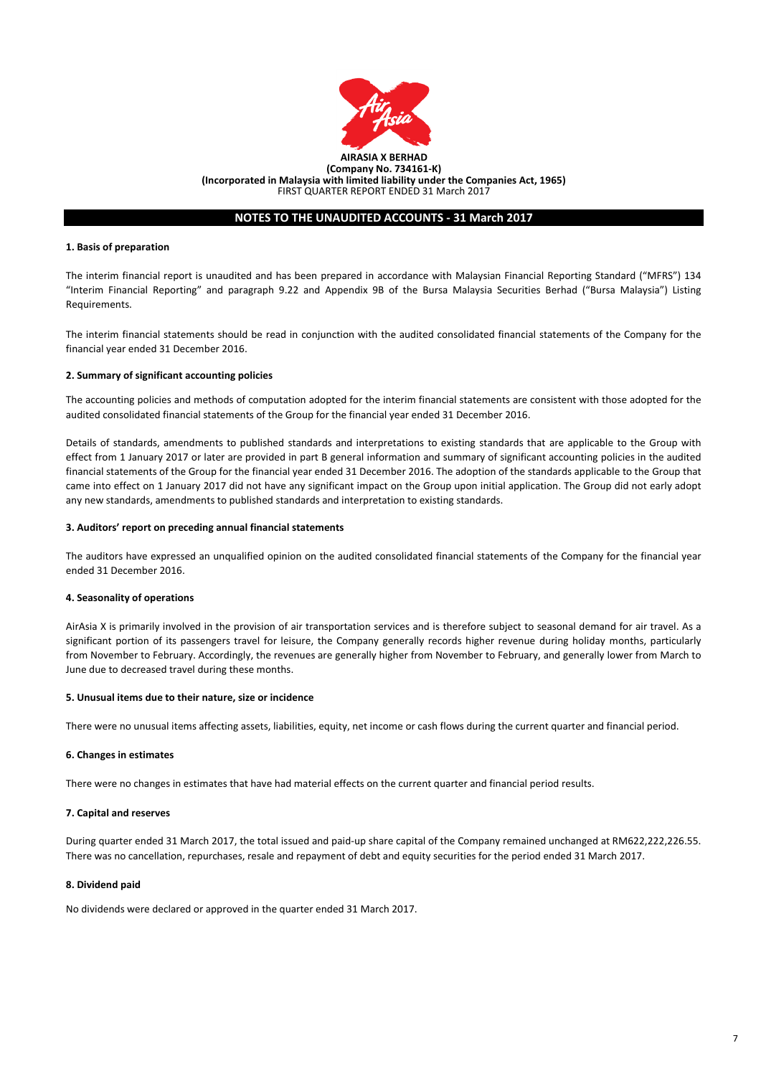

## **NOTES TO THE UNAUDITED ACCOUNTS - 31 March 2017**

#### **1. Basis of preparation**

The interim financial report is unaudited and has been prepared in accordance with Malaysian Financial Reporting Standard ("MFRS") 134 "Interim Financial Reporting" and paragraph 9.22 and Appendix 9B of the Bursa Malaysia Securities Berhad ("Bursa Malaysia") Listing Requirements.

The interim financial statements should be read in conjunction with the audited consolidated financial statements of the Company for the financial year ended 31 December 2016.

## **2. Summary of significant accounting policies**

The accounting policies and methods of computation adopted for the interim financial statements are consistent with those adopted for the audited consolidated financial statements of the Group for the financial year ended 31 December 2016.

Details of standards, amendments to published standards and interpretations to existing standards that are applicable to the Group with effect from 1 January 2017 or later are provided in part B general information and summary of significant accounting policies in the audited financial statements of the Group for the financial year ended 31 December 2016. The adoption of the standards applicable to the Group that came into effect on 1 January 2017 did not have any significant impact on the Group upon initial application. The Group did not early adopt any new standards, amendments to published standards and interpretation to existing standards.

## **3. Auditors' report on preceding annual financial statements**

The auditors have expressed an unqualified opinion on the audited consolidated financial statements of the Company for the financial year ended 31 December 2016.

#### **4. Seasonality of operations**

AirAsia X is primarily involved in the provision of air transportation services and is therefore subject to seasonal demand for air travel. As a significant portion of its passengers travel for leisure, the Company generally records higher revenue during holiday months, particularly from November to February. Accordingly, the revenues are generally higher from November to February, and generally lower from March to June due to decreased travel during these months.

#### **5. Unusual items due to their nature, size or incidence**

There were no unusual items affecting assets, liabilities, equity, net income or cash flows during the current quarter and financial period.

## **6. Changes in estimates**

There were no changes in estimates that have had material effects on the current quarter and financial period results.

## **7. Capital and reserves**

During quarter ended 31 March 2017, the total issued and paid-up share capital of the Company remained unchanged at RM622,222,226.55. There was no cancellation, repurchases, resale and repayment of debt and equity securities for the period ended 31 March 2017.

## **8. Dividend paid**

No dividends were declared or approved in the quarter ended 31 March 2017.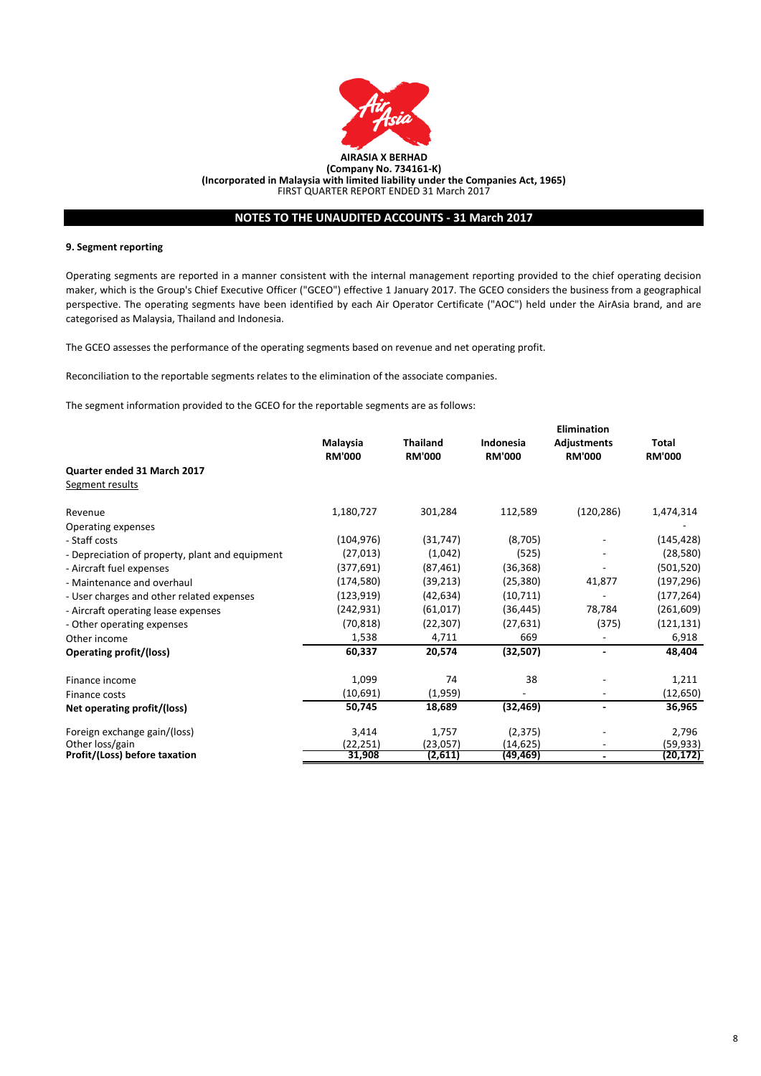

# **NOTES TO THE UNAUDITED ACCOUNTS - 31 March 2017**

## **9. Segment reporting**

Operating segments are reported in a manner consistent with the internal management reporting provided to the chief operating decision maker, which is the Group's Chief Executive Officer ("GCEO") effective 1 January 2017. The GCEO considers the business from a geographical perspective. The operating segments have been identified by each Air Operator Certificate ("AOC") held under the AirAsia brand, and are categorised as Malaysia, Thailand and Indonesia.

The GCEO assesses the performance of the operating segments based on revenue and net operating profit.

Reconciliation to the reportable segments relates to the elimination of the associate companies.

The segment information provided to the GCEO for the reportable segments are as follows:

|                                                 |               |                 |               | <b>Elimination</b>       |               |
|-------------------------------------------------|---------------|-----------------|---------------|--------------------------|---------------|
|                                                 | Malaysia      | <b>Thailand</b> | Indonesia     | <b>Adjustments</b>       | Total         |
|                                                 | <b>RM'000</b> | <b>RM'000</b>   | <b>RM'000</b> | <b>RM'000</b>            | <b>RM'000</b> |
| Quarter ended 31 March 2017                     |               |                 |               |                          |               |
| Segment results                                 |               |                 |               |                          |               |
| Revenue                                         | 1,180,727     | 301,284         | 112,589       | (120, 286)               | 1,474,314     |
| Operating expenses                              |               |                 |               |                          |               |
| - Staff costs                                   | (104, 976)    | (31, 747)       | (8,705)       |                          | (145, 428)    |
| - Depreciation of property, plant and equipment | (27, 013)     | (1,042)         | (525)         | ۰                        | (28, 580)     |
| - Aircraft fuel expenses                        | (377, 691)    | (87, 461)       | (36, 368)     |                          | (501, 520)    |
| - Maintenance and overhaul                      | (174, 580)    | (39, 213)       | (25, 380)     | 41,877                   | (197, 296)    |
| - User charges and other related expenses       | (123, 919)    | (42, 634)       | (10, 711)     |                          | (177, 264)    |
| - Aircraft operating lease expenses             | (242, 931)    | (61, 017)       | (36, 445)     | 78,784                   | (261, 609)    |
| - Other operating expenses                      | (70, 818)     | (22, 307)       | (27, 631)     | (375)                    | (121, 131)    |
| Other income                                    | 1,538         | 4,711           | 669           |                          | 6,918         |
| <b>Operating profit/(loss)</b>                  | 60,337        | 20,574          | (32, 507)     |                          | 48,404        |
| Finance income                                  | 1,099         | 74              | 38            |                          | 1,211         |
| Finance costs                                   | (10,691)      | (1,959)         |               | ۰                        | (12, 650)     |
| Net operating profit/(loss)                     | 50,745        | 18,689          | (32, 469)     | $\overline{\phantom{a}}$ | 36,965        |
| Foreign exchange gain/(loss)                    | 3,414         | 1,757           | (2, 375)      |                          | 2,796         |
| Other loss/gain                                 | (22,251)      | (23,057)        | (14, 625)     | $\overline{\phantom{0}}$ | (59, 933)     |
| Profit/(Loss) before taxation                   | 31,908        | (2,611)         | (49,469)      | $\overline{\phantom{a}}$ | (20,172)      |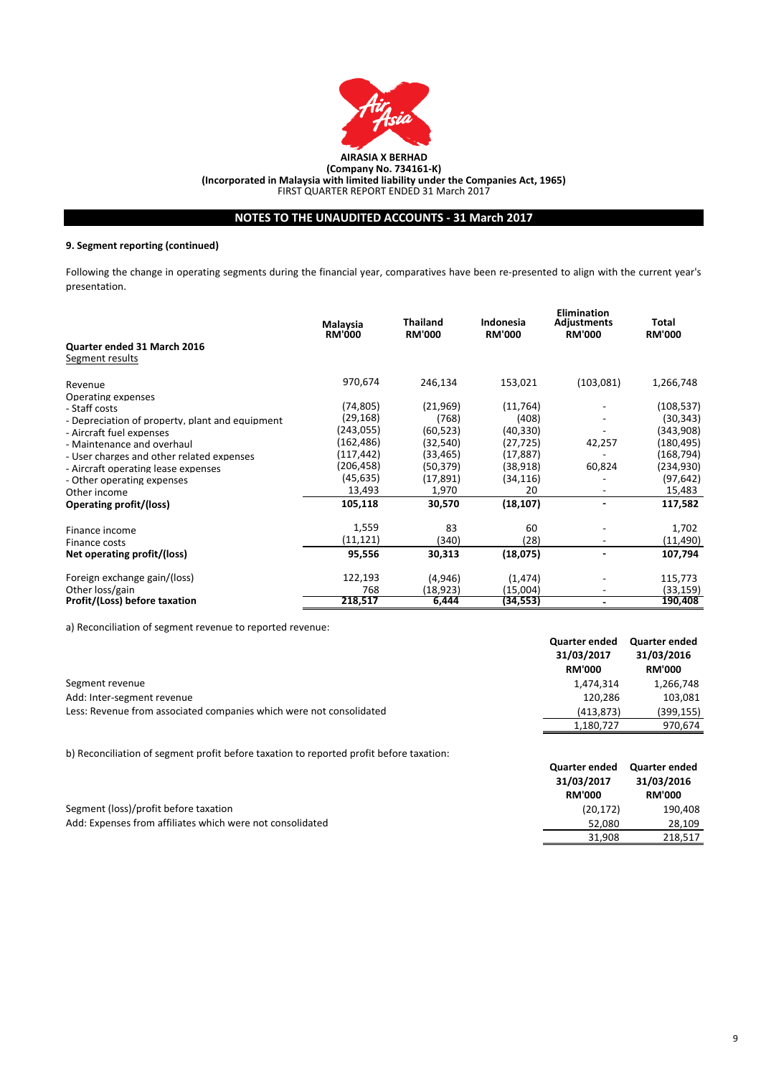

# **NOTES TO THE UNAUDITED ACCOUNTS - 31 March 2017**

# **9. Segment reporting (continued)**

Following the change in operating segments during the financial year, comparatives have been re-presented to align with the current year's presentation.

|                                                 | Malaysia<br><b>RM'000</b> | <b>Thailand</b><br><b>RM'000</b> | Indonesia<br><b>RM'000</b> | <b>Elimination</b><br><b>Adjustments</b><br><b>RM'000</b> | Total<br><b>RM'000</b> |
|-------------------------------------------------|---------------------------|----------------------------------|----------------------------|-----------------------------------------------------------|------------------------|
| Quarter ended 31 March 2016                     |                           |                                  |                            |                                                           |                        |
| Segment results                                 |                           |                                  |                            |                                                           |                        |
| Revenue                                         | 970,674                   | 246,134                          | 153,021                    | (103,081)                                                 | 1,266,748              |
| Operating expenses                              |                           |                                  |                            |                                                           |                        |
| - Staff costs                                   | (74, 805)                 | (21,969)                         | (11, 764)                  |                                                           | (108, 537)             |
| - Depreciation of property, plant and equipment | (29,168)                  | (768)                            | (408)                      |                                                           | (30, 343)              |
| - Aircraft fuel expenses                        | (243,055)                 | (60, 523)                        | (40, 330)                  |                                                           | (343,908)              |
| - Maintenance and overhaul                      | (162,486)                 | (32, 540)                        | (27, 725)                  | 42,257                                                    | (180,495)              |
| - User charges and other related expenses       | (117, 442)                | (33, 465)                        | (17, 887)                  |                                                           | (168, 794)             |
| - Aircraft operating lease expenses             | (206, 458)                | (50, 379)                        | (38, 918)                  | 60,824                                                    | (234, 930)             |
| - Other operating expenses                      | (45, 635)                 | (17, 891)                        | (34, 116)                  |                                                           | (97, 642)              |
| Other income                                    | 13,493                    | 1,970                            | 20                         |                                                           | 15,483                 |
| <b>Operating profit/(loss)</b>                  | 105,118                   | 30,570                           | (18, 107)                  | $\overline{\phantom{0}}$                                  | 117,582                |
| Finance income                                  | 1,559                     | 83                               | 60                         |                                                           | 1,702                  |
| Finance costs                                   | (11,121)                  | (340)                            | (28)                       | $\overline{\phantom{0}}$                                  | (11, 490)              |
| Net operating profit/(loss)                     | 95,556                    | 30,313                           | (18,075)                   |                                                           | 107,794                |
| Foreign exchange gain/(loss)                    | 122,193                   | (4,946)                          | (1, 474)                   |                                                           | 115,773                |
| Other loss/gain                                 | 768                       | (18, 923)                        | (15,004)                   | ۰                                                         | (33, 159)              |
| Profit/(Loss) before taxation                   | 218,517                   | 6,444                            | (34,553)                   |                                                           | 190,408                |

a) Reconciliation of segment revenue to reported revenue:

|                                                                     | <b>Quarter ended</b><br>31/03/2017<br><b>RM'000</b> | Quarter ended<br>31/03/2016<br><b>RM'000</b> |
|---------------------------------------------------------------------|-----------------------------------------------------|----------------------------------------------|
| Segment revenue                                                     | 1,474,314                                           | 1,266,748                                    |
| Add: Inter-segment revenue                                          | 120.286                                             | 103.081                                      |
| Less: Revenue from associated companies which were not consolidated | (413.873)                                           | (399, 155)                                   |
|                                                                     | 1,180,727                                           | 970,674                                      |

b) Reconciliation of segment profit before taxation to reported profit before taxation:

|                                                           | Quarter ended<br>31/03/2017 | Quarter ended<br>31/03/2016 |
|-----------------------------------------------------------|-----------------------------|-----------------------------|
|                                                           | <b>RM'000</b>               | <b>RM'000</b>               |
| Segment (loss)/profit before taxation                     | (20.172)                    | 190,408                     |
| Add: Expenses from affiliates which were not consolidated | 52.080                      | 28.109                      |
|                                                           | 31.908                      | 218.517                     |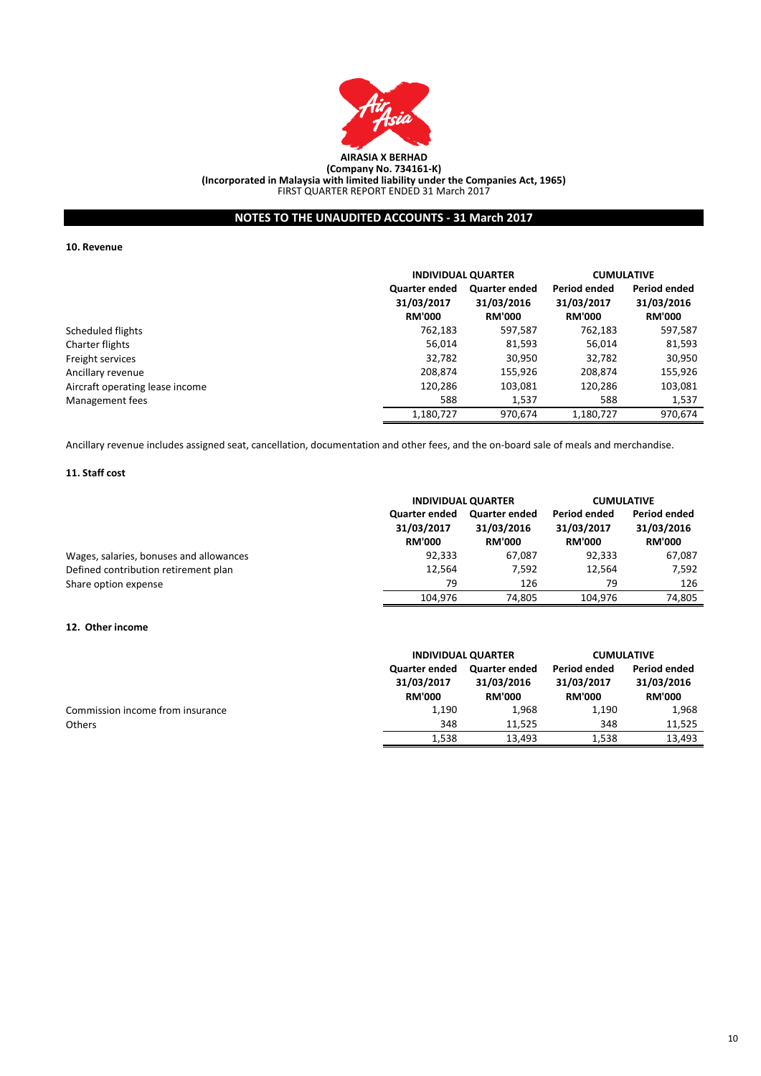

**(Incorporated in Malaysia with limited liability under the Companies Act, 1965)**

FIRST QUARTER REPORT ENDED 31 March 2017

# **NOTES TO THE UNAUDITED ACCOUNTS - 31 March 2017**

**10. Revenue**

|                                 |                                                     | <b>INDIVIDUAL QUARTER</b>                           |                                                    | <b>CUMULATIVE</b>                           |
|---------------------------------|-----------------------------------------------------|-----------------------------------------------------|----------------------------------------------------|---------------------------------------------|
|                                 | <b>Quarter ended</b><br>31/03/2017<br><b>RM'000</b> | <b>Quarter ended</b><br>31/03/2016<br><b>RM'000</b> | <b>Period ended</b><br>31/03/2017<br><b>RM'000</b> | Period ended<br>31/03/2016<br><b>RM'000</b> |
| Scheduled flights               | 762,183                                             | 597,587                                             | 762,183                                            | 597,587                                     |
| Charter flights                 | 56,014                                              | 81,593                                              | 56,014                                             | 81,593                                      |
| Freight services                | 32,782                                              | 30,950                                              | 32,782                                             | 30,950                                      |
| Ancillary revenue               | 208,874                                             | 155,926                                             | 208,874                                            | 155,926                                     |
| Aircraft operating lease income | 120,286                                             | 103,081                                             | 120,286                                            | 103,081                                     |
| Management fees                 | 588                                                 | 1,537                                               | 588                                                | 1,537                                       |
|                                 | 1.180.727                                           | 970.674                                             | 1.180.727                                          | 970.674                                     |

Ancillary revenue includes assigned seat, cancellation, documentation and other fees, and the on-board sale of meals and merchandise.

# **11. Staff cost**

|                                         | <b>INDIVIDUAL QUARTER</b>                           |                                                     | <b>CUMULATIVE</b>                                  |                                             |
|-----------------------------------------|-----------------------------------------------------|-----------------------------------------------------|----------------------------------------------------|---------------------------------------------|
|                                         | <b>Quarter ended</b><br>31/03/2017<br><b>RM'000</b> | <b>Quarter ended</b><br>31/03/2016<br><b>RM'000</b> | <b>Period ended</b><br>31/03/2017<br><b>RM'000</b> | Period ended<br>31/03/2016<br><b>RM'000</b> |
| Wages, salaries, bonuses and allowances | 92,333                                              | 67,087                                              | 92,333                                             | 67,087                                      |
| Defined contribution retirement plan    | 12,564                                              | 7.592                                               | 12.564                                             | 7,592                                       |
| Share option expense                    | 79                                                  | 126                                                 | 79                                                 | 126                                         |
|                                         | 104.976                                             | 74.805                                              | 104.976                                            | 74.805                                      |

## **12. Other income**

|                                  |                                                     | <b>INDIVIDUAL QUARTER</b>                           |                                             | <b>CUMULATIVE</b>                           |  |
|----------------------------------|-----------------------------------------------------|-----------------------------------------------------|---------------------------------------------|---------------------------------------------|--|
|                                  | <b>Quarter ended</b><br>31/03/2017<br><b>RM'000</b> | <b>Quarter ended</b><br>31/03/2016<br><b>RM'000</b> | Period ended<br>31/03/2017<br><b>RM'000</b> | Period ended<br>31/03/2016<br><b>RM'000</b> |  |
| Commission income from insurance | 1,190                                               | 1,968                                               | 1.190                                       | 1,968                                       |  |
| <b>Others</b>                    | 348                                                 | 11.525                                              | 348                                         | 11,525                                      |  |
|                                  | 1,538                                               | 13,493                                              | 1,538                                       | 13,493                                      |  |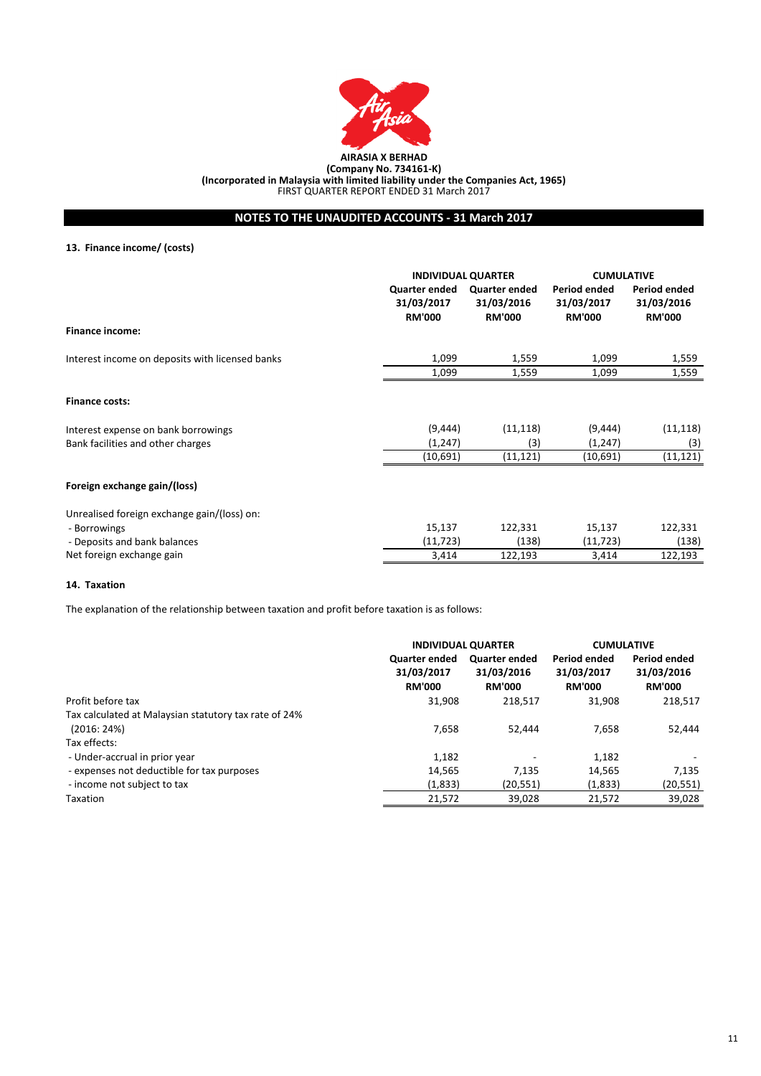

# **NOTES TO THE UNAUDITED ACCOUNTS - 31 March 2017**

## **13. Finance income/ (costs)**

|                                                 | <b>INDIVIDUAL QUARTER</b>                           |                                              | <b>CUMULATIVE</b>                                  |                                                    |
|-------------------------------------------------|-----------------------------------------------------|----------------------------------------------|----------------------------------------------------|----------------------------------------------------|
|                                                 | <b>Quarter ended</b><br>31/03/2017<br><b>RM'000</b> | Quarter ended<br>31/03/2016<br><b>RM'000</b> | <b>Period ended</b><br>31/03/2017<br><b>RM'000</b> | <b>Period ended</b><br>31/03/2016<br><b>RM'000</b> |
| <b>Finance income:</b>                          |                                                     |                                              |                                                    |                                                    |
| Interest income on deposits with licensed banks | 1,099                                               | 1,559                                        | 1,099                                              | 1,559                                              |
|                                                 | 1,099                                               | 1,559                                        | 1,099                                              | 1,559                                              |
| <b>Finance costs:</b>                           |                                                     |                                              |                                                    |                                                    |
| Interest expense on bank borrowings             | (9, 444)                                            | (11, 118)                                    | (9, 444)                                           | (11, 118)                                          |
| Bank facilities and other charges               | (1, 247)                                            | (3)                                          | (1, 247)                                           | (3)                                                |
|                                                 | (10,691)                                            | (11, 121)                                    | (10,691)                                           | (11, 121)                                          |
| Foreign exchange gain/(loss)                    |                                                     |                                              |                                                    |                                                    |
| Unrealised foreign exchange gain/(loss) on:     |                                                     |                                              |                                                    |                                                    |
| - Borrowings                                    | 15,137                                              | 122,331                                      | 15,137                                             | 122,331                                            |
| - Deposits and bank balances                    | (11, 723)                                           | (138)                                        | (11, 723)                                          | (138)                                              |
| Net foreign exchange gain                       | 3,414                                               | 122,193                                      | 3,414                                              | 122,193                                            |

## **14. Taxation**

The explanation of the relationship between taxation and profit before taxation is as follows:

|                                                       |                                                     | <b>INDIVIDUAL QUARTER</b>                           |                                                    | <b>CUMULATIVE</b>                           |
|-------------------------------------------------------|-----------------------------------------------------|-----------------------------------------------------|----------------------------------------------------|---------------------------------------------|
|                                                       | <b>Quarter ended</b><br>31/03/2017<br><b>RM'000</b> | <b>Quarter ended</b><br>31/03/2016<br><b>RM'000</b> | <b>Period ended</b><br>31/03/2017<br><b>RM'000</b> | Period ended<br>31/03/2016<br><b>RM'000</b> |
| Profit before tax                                     | 31,908                                              | 218,517                                             | 31,908                                             | 218,517                                     |
| Tax calculated at Malaysian statutory tax rate of 24% |                                                     |                                                     |                                                    |                                             |
| (2016:24%)                                            | 7,658                                               | 52.444                                              | 7.658                                              | 52,444                                      |
| Tax effects:                                          |                                                     |                                                     |                                                    |                                             |
| - Under-accrual in prior year                         | 1,182                                               |                                                     | 1,182                                              |                                             |
| - expenses not deductible for tax purposes            | 14,565                                              | 7.135                                               | 14,565                                             | 7,135                                       |
| - income not subject to tax                           | (1,833)                                             | (20, 551)                                           | (1,833)                                            | (20,551)                                    |
| Taxation                                              | 21,572                                              | 39.028                                              | 21,572                                             | 39,028                                      |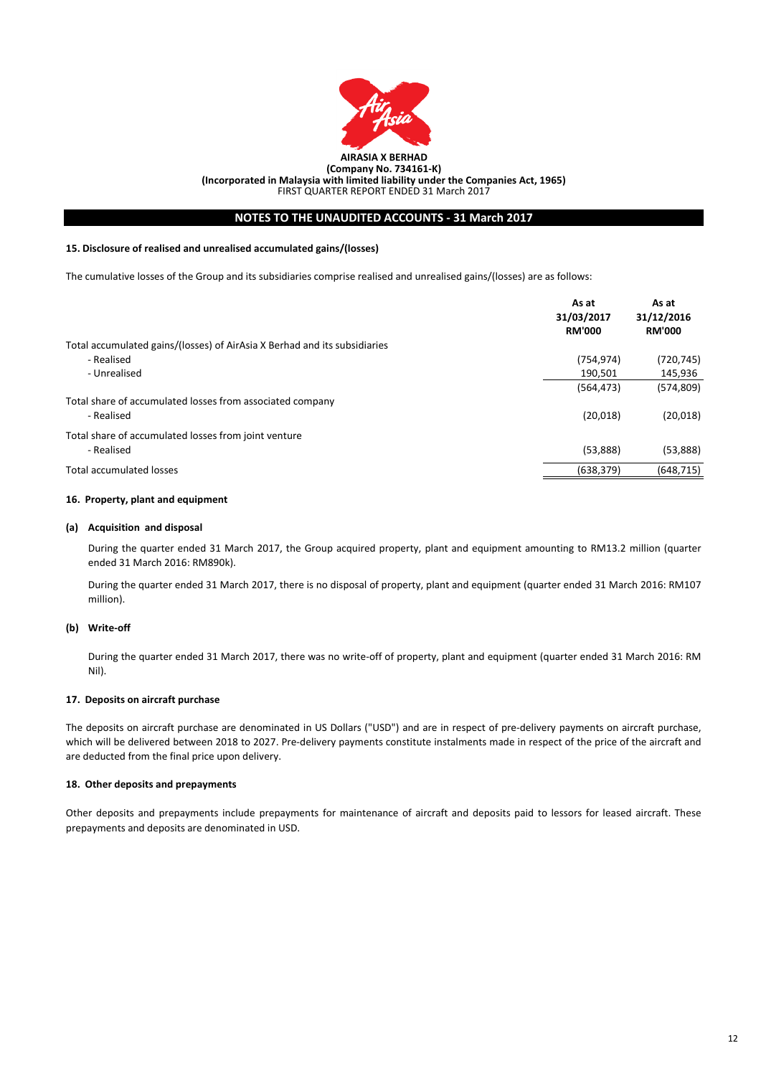

# **NOTES TO THE UNAUDITED ACCOUNTS - 31 March 2017**

## **15. Disclosure of realised and unrealised accumulated gains/(losses)**

The cumulative losses of the Group and its subsidiaries comprise realised and unrealised gains/(losses) are as follows:

|                                                                           | As at<br>31/03/2017<br><b>RM'000</b> | As at<br>31/12/2016<br><b>RM'000</b> |
|---------------------------------------------------------------------------|--------------------------------------|--------------------------------------|
| Total accumulated gains/(losses) of AirAsia X Berhad and its subsidiaries |                                      |                                      |
| - Realised                                                                | (754, 974)                           | (720, 745)                           |
| - Unrealised                                                              | 190.501                              | 145,936                              |
|                                                                           | (564, 473)                           | (574, 809)                           |
| Total share of accumulated losses from associated company                 |                                      |                                      |
| - Realised                                                                | (20,018)                             | (20, 018)                            |
| Total share of accumulated losses from joint venture                      |                                      |                                      |
| - Realised                                                                | (53,888)                             | (53,888)                             |
| <b>Total accumulated losses</b>                                           | (638, 379)                           | (648, 715)                           |

## **16. Property, plant and equipment**

## **(a) Acquisition and disposal**

During the quarter ended 31 March 2017, the Group acquired property, plant and equipment amounting to RM13.2 million (quarter ended 31 March 2016: RM890k).

During the quarter ended 31 March 2017, there is no disposal of property, plant and equipment (quarter ended 31 March 2016: RM107 million).

## **(b) Write-off**

During the quarter ended 31 March 2017, there was no write-off of property, plant and equipment (quarter ended 31 March 2016: RM Nil).

## **17. Deposits on aircraft purchase**

The deposits on aircraft purchase are denominated in US Dollars ("USD") and are in respect of pre-delivery payments on aircraft purchase, which will be delivered between 2018 to 2027. Pre-delivery payments constitute instalments made in respect of the price of the aircraft and are deducted from the final price upon delivery.

## **18. Other deposits and prepayments**

Other deposits and prepayments include prepayments for maintenance of aircraft and deposits paid to lessors for leased aircraft. These prepayments and deposits are denominated in USD.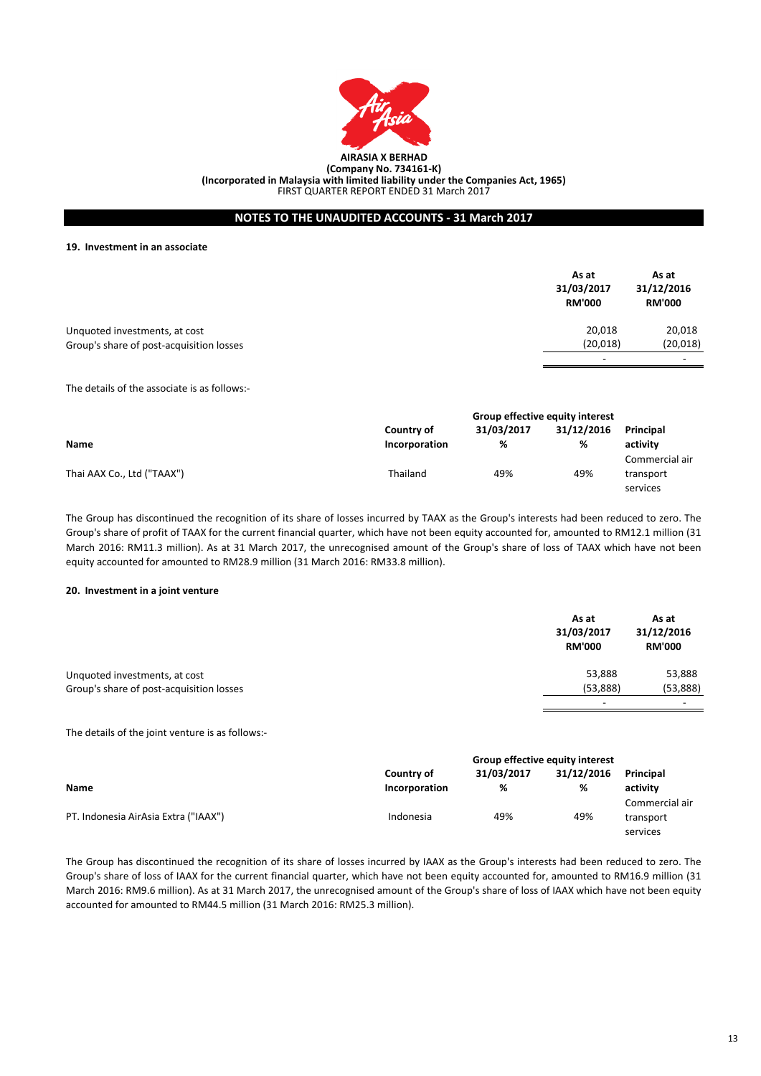

## **NOTES TO THE UNAUDITED ACCOUNTS - 31 March 2017**

#### **19. Investment in an associate**

| As at<br>31/03/2017<br><b>RM'000</b> | As at<br>31/12/2016<br><b>RM'000</b> |
|--------------------------------------|--------------------------------------|
| 20,018                               | 20,018                               |
| (20,018)                             | (20, 018)                            |
| $\overline{\phantom{0}}$             | -                                    |
|                                      |                                      |

The details of the associate is as follows:-

|                            |               | Group effective equity interest |            |                |  |
|----------------------------|---------------|---------------------------------|------------|----------------|--|
|                            | Country of    | 31/03/2017                      | 31/12/2016 | Principal      |  |
| <b>Name</b>                | Incorporation | %                               | %          | activity       |  |
|                            |               |                                 |            | Commercial air |  |
| Thai AAX Co., Ltd ("TAAX") | Thailand      | 49%                             | 49%        | transport      |  |
|                            |               |                                 |            | services       |  |

The Group has discontinued the recognition of its share of losses incurred by TAAX as the Group's interests had been reduced to zero. The Group's share of profit of TAAX for the current financial quarter, which have not been equity accounted for, amounted to RM12.1 million (31 March 2016: RM11.3 million). As at 31 March 2017, the unrecognised amount of the Group's share of loss of TAAX which have not been equity accounted for amounted to RM28.9 million (31 March 2016: RM33.8 million).

## **20. Investment in a joint venture**

|                                          | As at<br>31/03/2017<br><b>RM'000</b> | As at<br>31/12/2016<br><b>RM'000</b> |
|------------------------------------------|--------------------------------------|--------------------------------------|
| Unquoted investments, at cost            | 53,888                               | 53,888                               |
| Group's share of post-acquisition losses | (53,888)                             | (53,888)                             |
|                                          | -                                    | ٠                                    |

The details of the joint venture is as follows:-

|                                      | Group effective equity interest |            |            |                |
|--------------------------------------|---------------------------------|------------|------------|----------------|
|                                      | Country of                      | 31/03/2017 | 31/12/2016 | Principal      |
| <b>Name</b>                          | Incorporation                   | %          | %          | activity       |
|                                      |                                 |            |            | Commercial air |
| PT. Indonesia AirAsia Extra ("IAAX") | Indonesia                       | 49%        | 49%        | transport      |
|                                      |                                 |            |            | services       |

The Group has discontinued the recognition of its share of losses incurred by IAAX as the Group's interests had been reduced to zero. The Group's share of loss of IAAX for the current financial quarter, which have not been equity accounted for, amounted to RM16.9 million (31 March 2016: RM9.6 million). As at 31 March 2017, the unrecognised amount of the Group's share of loss of IAAX which have not been equity accounted for amounted to RM44.5 million (31 March 2016: RM25.3 million).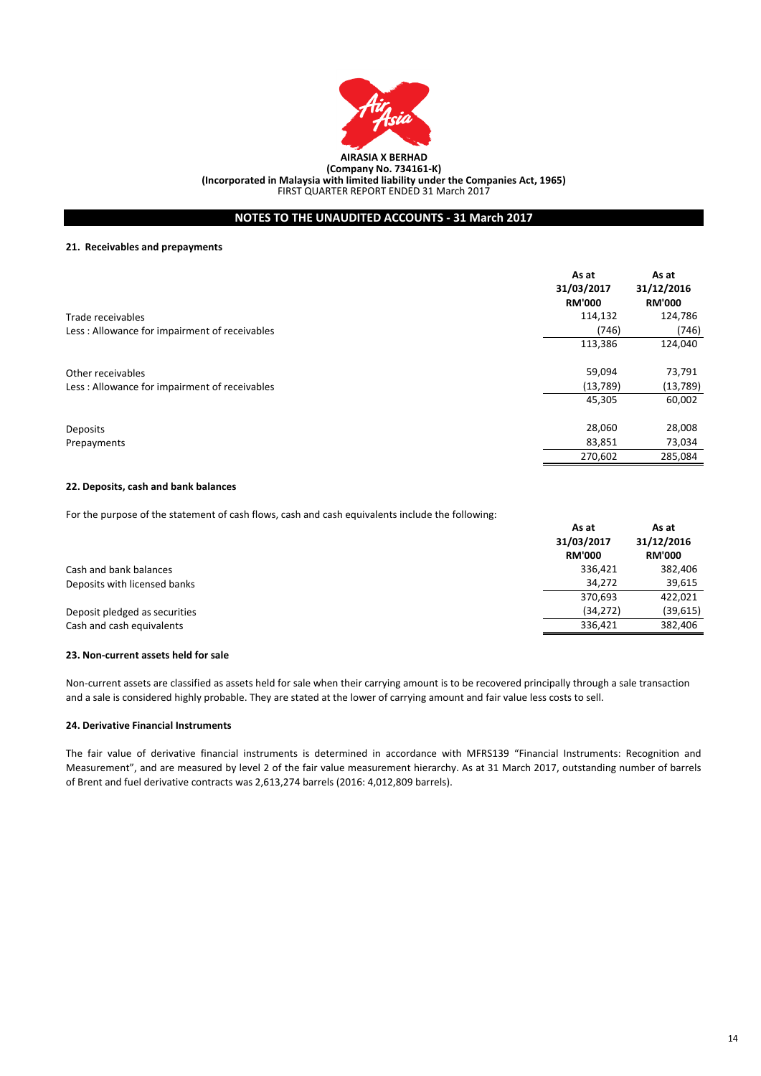

## **NOTES TO THE UNAUDITED ACCOUNTS - 31 March 2017**

#### **21. Receivables and prepayments**

| Trade receivables                                                  | As at<br>31/03/2017<br><b>RM'000</b><br>114,132<br>(746) | As at<br>31/12/2016<br><b>RM'000</b><br>124,786<br>(746) |
|--------------------------------------------------------------------|----------------------------------------------------------|----------------------------------------------------------|
| Less : Allowance for impairment of receivables                     | 113,386                                                  | 124,040                                                  |
| Other receivables<br>Less: Allowance for impairment of receivables | 59,094<br>(13,789)                                       | 73,791<br>(13,789)                                       |
|                                                                    | 45,305                                                   | 60,002                                                   |
| Deposits                                                           | 28,060                                                   | 28,008                                                   |
| Prepayments                                                        | 83,851                                                   | 73,034                                                   |
|                                                                    | 270,602                                                  | 285,084                                                  |

## **22. Deposits, cash and bank balances**

For the purpose of the statement of cash flows, cash and cash equivalents include the following:

|                               | As at<br>31/03/2017<br><b>RM'000</b> | As at<br>31/12/2016<br><b>RM'000</b> |
|-------------------------------|--------------------------------------|--------------------------------------|
| Cash and bank balances        | 336,421                              | 382,406                              |
| Deposits with licensed banks  | 34.272                               | 39,615                               |
|                               | 370,693                              | 422,021                              |
| Deposit pledged as securities | (34, 272)                            | (39, 615)                            |
| Cash and cash equivalents     | 336,421                              | 382,406                              |

## **23. Non-current assets held for sale**

Non-current assets are classified as assets held for sale when their carrying amount is to be recovered principally through a sale transaction and a sale is considered highly probable. They are stated at the lower of carrying amount and fair value less costs to sell.

## **24. Derivative Financial Instruments**

The fair value of derivative financial instruments is determined in accordance with MFRS139 "Financial Instruments: Recognition and Measurement", and are measured by level 2 of the fair value measurement hierarchy. As at 31 March 2017, outstanding number of barrels of Brent and fuel derivative contracts was 2,613,274 barrels (2016: 4,012,809 barrels).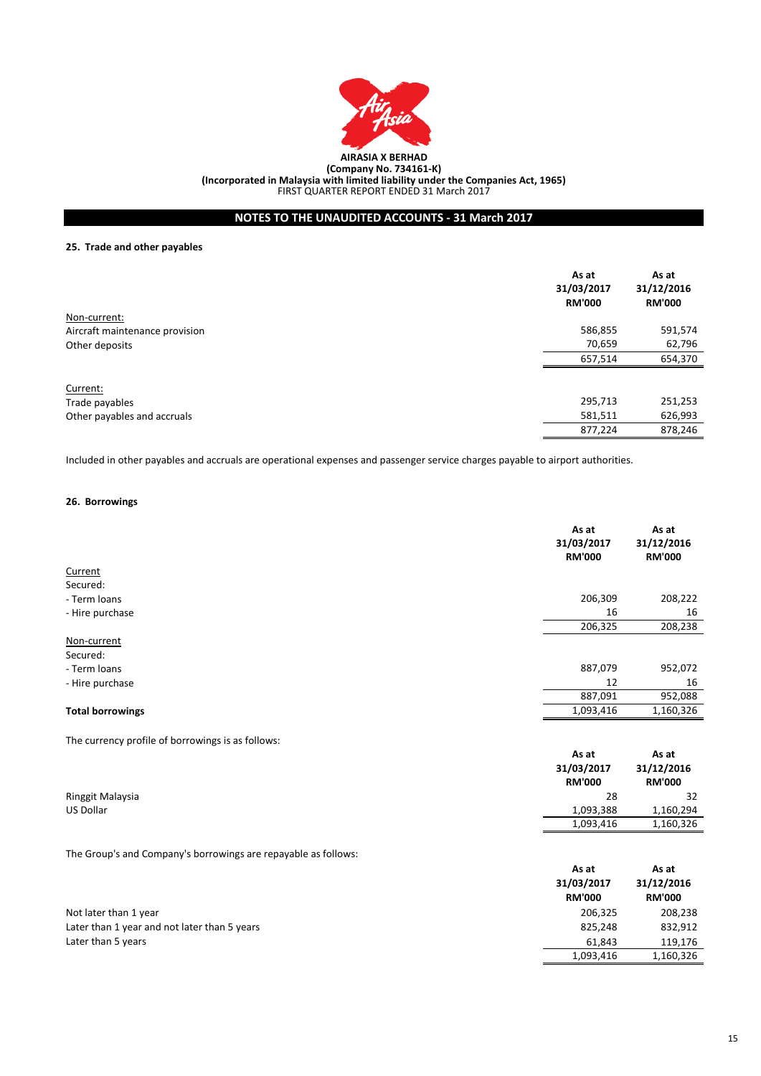

**(Incorporated in Malaysia with limited liability under the Companies Act, 1965)**

FIRST QUARTER REPORT ENDED 31 March 2017

# **NOTES TO THE UNAUDITED ACCOUNTS - 31 March 2017**

## **25. Trade and other payables**

|                                | As at<br>31/03/2017<br><b>RM'000</b> | As at<br>31/12/2016<br><b>RM'000</b> |
|--------------------------------|--------------------------------------|--------------------------------------|
| Non-current:                   |                                      |                                      |
| Aircraft maintenance provision | 586,855                              | 591,574                              |
| Other deposits                 | 70,659                               | 62,796                               |
|                                | 657,514                              | 654,370                              |
| Current:                       |                                      |                                      |
| Trade payables                 | 295,713                              | 251,253                              |
| Other payables and accruals    | 581,511                              | 626,993                              |
|                                | 877,224                              | 878,246                              |

Included in other payables and accruals are operational expenses and passenger service charges payable to airport authorities.

## **26. Borrowings**

|                                                                | As at<br>31/03/2017<br><b>RM'000</b> | As at<br>31/12/2016<br><b>RM'000</b> |
|----------------------------------------------------------------|--------------------------------------|--------------------------------------|
| Current                                                        |                                      |                                      |
| Secured:                                                       |                                      |                                      |
| - Term loans                                                   | 206,309                              | 208,222                              |
| - Hire purchase                                                | 16                                   | 16                                   |
|                                                                | 206,325                              | 208,238                              |
| Non-current                                                    |                                      |                                      |
| Secured:                                                       |                                      |                                      |
| - Term loans                                                   | 887,079                              | 952,072                              |
| - Hire purchase                                                | 12                                   | 16                                   |
|                                                                | 887,091                              | 952,088                              |
| <b>Total borrowings</b>                                        | 1,093,416                            | 1,160,326                            |
| The currency profile of borrowings is as follows:              |                                      |                                      |
|                                                                | As at                                | As at                                |
|                                                                | 31/03/2017                           | 31/12/2016                           |
|                                                                | <b>RM'000</b>                        | <b>RM'000</b>                        |
| Ringgit Malaysia                                               | 28                                   | 32                                   |
| US Dollar                                                      | 1,093,388                            | 1,160,294                            |
|                                                                | 1,093,416                            | 1,160,326                            |
| The Group's and Company's borrowings are repayable as follows: |                                      |                                      |
|                                                                | As at                                | As at                                |
|                                                                | 31/03/2017                           | 31/12/2016                           |
|                                                                | <b>RM'000</b>                        | <b>RM'000</b>                        |
| Not later than 1 year                                          | 206,325                              | 208,238                              |
| Later than 1 year and not later than 5 years                   | 825,248                              | 832,912                              |
| Later than 5 years                                             | 61,843                               | 119,176                              |
|                                                                | 1,093,416                            | 1,160,326                            |
|                                                                |                                      |                                      |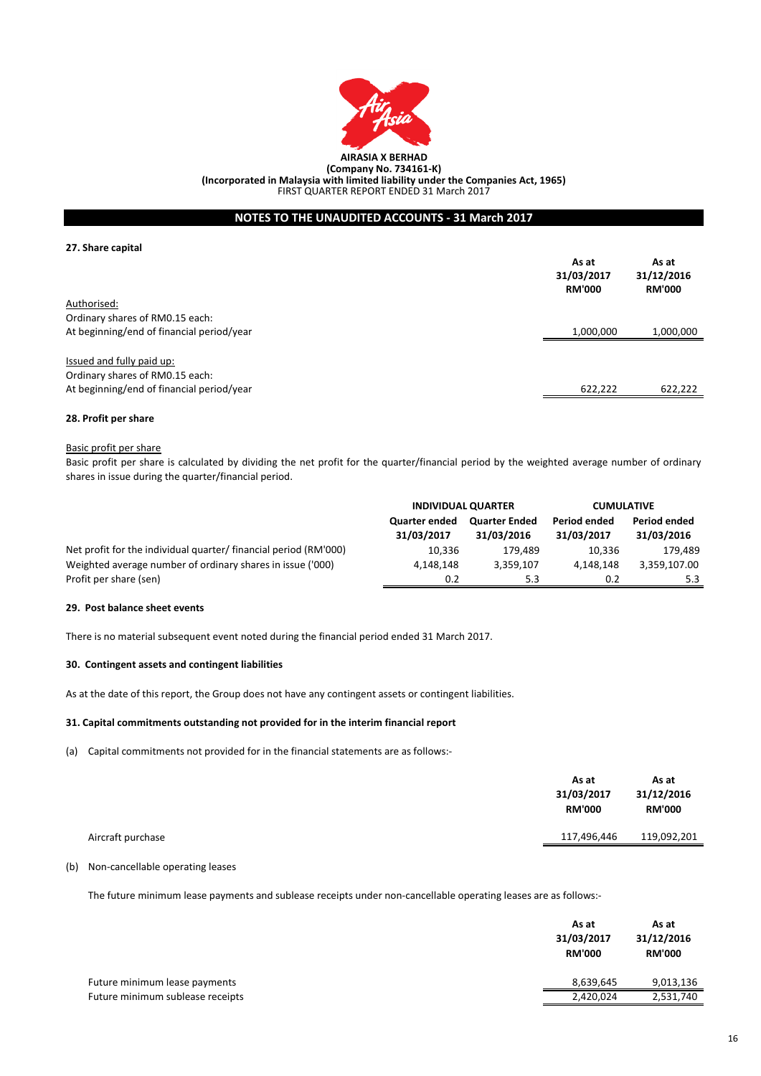

## **NOTES TO THE UNAUDITED ACCOUNTS - 31 March 2017**

## **27. Share capital**

|                                           | As at<br>31/03/2017 | As at<br>31/12/2016 |
|-------------------------------------------|---------------------|---------------------|
|                                           | <b>RM'000</b>       | <b>RM'000</b>       |
| Authorised:                               |                     |                     |
| Ordinary shares of RM0.15 each:           |                     |                     |
| At beginning/end of financial period/year | 1,000,000           | 1,000,000           |
| Issued and fully paid up:                 |                     |                     |
|                                           |                     |                     |
| Ordinary shares of RM0.15 each:           |                     |                     |
| At beginning/end of financial period/year | 622.222             | 622,222             |

## **28. Profit per share**

## Basic profit per share

Basic profit per share is calculated by dividing the net profit for the quarter/financial period by the weighted average number of ordinary shares in issue during the quarter/financial period.

|                                                                 | <b>INDIVIDUAL QUARTER</b>          |                                    | <b>CUMULATIVE</b>          |                            |
|-----------------------------------------------------------------|------------------------------------|------------------------------------|----------------------------|----------------------------|
|                                                                 | <b>Quarter ended</b><br>31/03/2017 | <b>Quarter Ended</b><br>31/03/2016 | Period ended<br>31/03/2017 | Period ended<br>31/03/2016 |
| Net profit for the individual quarter/financial period (RM'000) | 10.336                             | 179.489                            | 10.336                     | 179.489                    |
| Weighted average number of ordinary shares in issue ('000)      | 4.148.148                          | 3,359,107                          | 4,148,148                  | 3,359,107.00               |
| Profit per share (sen)                                          | 0.2                                | 5.3                                | 0.2                        | 5.3                        |

## **29. Post balance sheet events**

There is no material subsequent event noted during the financial period ended 31 March 2017.

## **30. Contingent assets and contingent liabilities**

As at the date of this report, the Group does not have any contingent assets or contingent liabilities.

## **31. Capital commitments outstanding not provided for in the interim financial report**

(a) Capital commitments not provided for in the financial statements are as follows:-

|                   | As at<br>31/03/2017<br><b>RM'000</b> | As at<br>31/12/2016<br><b>RM'000</b> |
|-------------------|--------------------------------------|--------------------------------------|
| Aircraft purchase | 117,496,446                          | 119,092,201                          |
|                   |                                      |                                      |

# (b) Non-cancellable operating leases

The future minimum lease payments and sublease receipts under non-cancellable operating leases are as follows:-

|                                  | As at<br>31/03/2017<br><b>RM'000</b> | As at<br>31/12/2016<br><b>RM'000</b> |
|----------------------------------|--------------------------------------|--------------------------------------|
| Future minimum lease payments    | 8,639,645                            | 9,013,136                            |
| Future minimum sublease receipts | 2,420,024                            | 2,531,740                            |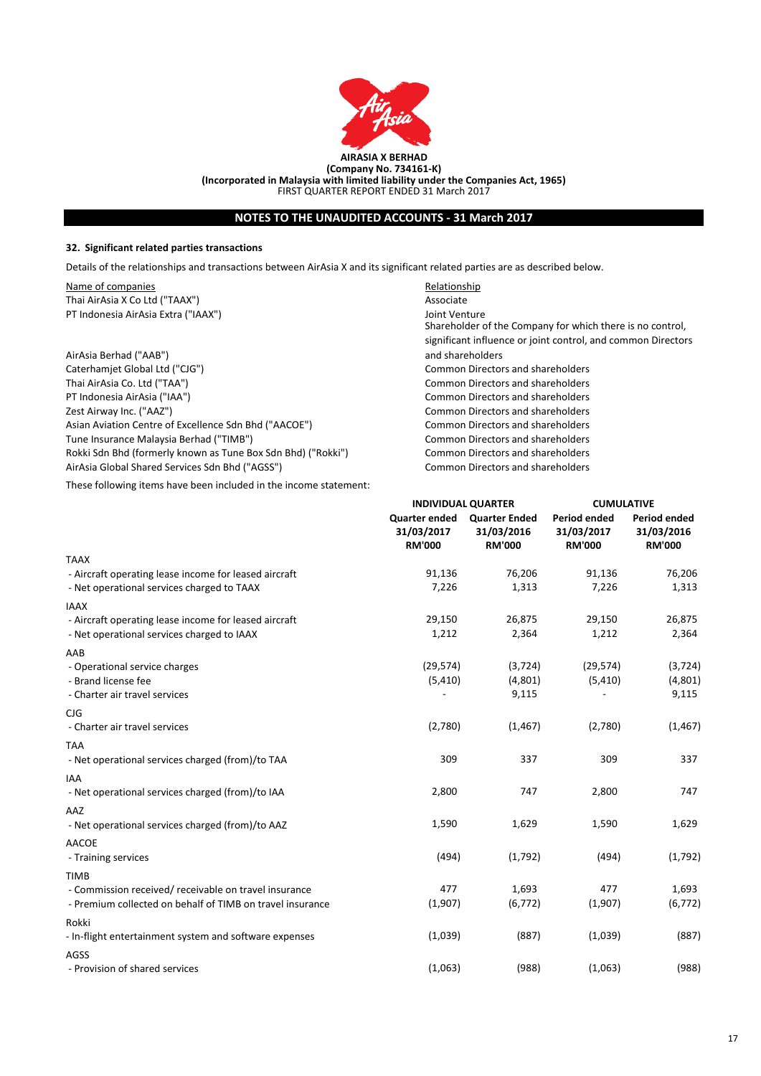

# **NOTES TO THE UNAUDITED ACCOUNTS - 31 March 2017**

## **32. Significant related parties transactions**

Details of the relationships and transactions between AirAsia X and its significant related parties are as described below.

Name of companies **Relationship** Thai AirAsia X Co Ltd ("TAAX") Associate PT Indonesia AirAsia Extra ("IAAX") Joint Venture

AirAsia Berhad ("AAB") Caterhamjet Global Ltd ("CJG") Common Directors and shareholders Thai AirAsia Co. Ltd ("TAA") Common Directors and shareholders PT Indonesia AirAsia ("IAA") Common Directors and shareholders Zest Airway Inc. ("AAZ") Common Directors and shareholders Asian Aviation Centre of Excellence Sdn Bhd ("AACOE") Common Directors and shareholders Tune Insurance Malaysia Berhad ("TIMB")<br>
Rokki Sdn Bhd (formerly known as Tune Box Sdn Bhd) ("Rokki") 
Common Directors and shareholders Rokki Sdn Bhd (formerly known as Tune Box Sdn Bhd) ("Rokki") AirAsia Global Shared Services Sdn Bhd ("AGSS") Common Directors and shareholders

These following items have been included in the income statement:

Shareholder of the Company for which there is no control, significant influence or joint control, and common Directors and shareholders

|                                                                                                     | <b>INDIVIDUAL QUARTER</b>                           |                                                     | <b>CUMULATIVE</b>                           |                                                    |
|-----------------------------------------------------------------------------------------------------|-----------------------------------------------------|-----------------------------------------------------|---------------------------------------------|----------------------------------------------------|
|                                                                                                     | <b>Quarter ended</b><br>31/03/2017<br><b>RM'000</b> | <b>Quarter Ended</b><br>31/03/2016<br><b>RM'000</b> | Period ended<br>31/03/2017<br><b>RM'000</b> | <b>Period ended</b><br>31/03/2016<br><b>RM'000</b> |
| <b>TAAX</b>                                                                                         |                                                     |                                                     |                                             |                                                    |
| - Aircraft operating lease income for leased aircraft<br>- Net operational services charged to TAAX | 91,136<br>7,226                                     | 76,206<br>1,313                                     | 91,136<br>7,226                             | 76,206<br>1,313                                    |
| <b>IAAX</b>                                                                                         |                                                     |                                                     |                                             |                                                    |
| - Aircraft operating lease income for leased aircraft<br>- Net operational services charged to IAAX | 29,150<br>1,212                                     | 26,875<br>2,364                                     | 29,150<br>1,212                             | 26,875<br>2,364                                    |
| AAB                                                                                                 |                                                     |                                                     |                                             |                                                    |
| - Operational service charges                                                                       | (29, 574)                                           | (3, 724)                                            | (29, 574)                                   | (3, 724)                                           |
| - Brand license fee<br>- Charter air travel services                                                | (5, 410)                                            | (4,801)<br>9,115                                    | (5, 410)                                    | (4,801)<br>9,115                                   |
| CJG                                                                                                 |                                                     |                                                     |                                             |                                                    |
| - Charter air travel services                                                                       | (2,780)                                             | (1, 467)                                            | (2,780)                                     | (1, 467)                                           |
| <b>TAA</b>                                                                                          |                                                     |                                                     |                                             |                                                    |
| - Net operational services charged (from)/to TAA                                                    | 309                                                 | 337                                                 | 309                                         | 337                                                |
| <b>IAA</b>                                                                                          |                                                     |                                                     |                                             |                                                    |
| - Net operational services charged (from)/to IAA                                                    | 2,800                                               | 747                                                 | 2,800                                       | 747                                                |
| AAZ                                                                                                 |                                                     |                                                     |                                             |                                                    |
| - Net operational services charged (from)/to AAZ                                                    | 1,590                                               | 1,629                                               | 1,590                                       | 1,629                                              |
| <b>AACOE</b>                                                                                        |                                                     |                                                     |                                             |                                                    |
| - Training services                                                                                 | (494)                                               | (1,792)                                             | (494)                                       | (1,792)                                            |
| <b>TIMB</b>                                                                                         |                                                     |                                                     |                                             |                                                    |
| - Commission received/receivable on travel insurance                                                | 477                                                 | 1,693                                               | 477                                         | 1,693                                              |
| - Premium collected on behalf of TIMB on travel insurance                                           | (1,907)                                             | (6, 772)                                            | (1,907)                                     | (6, 772)                                           |
| Rokki                                                                                               |                                                     |                                                     |                                             |                                                    |
| - In-flight entertainment system and software expenses                                              | (1,039)                                             | (887)                                               | (1,039)                                     | (887)                                              |
| AGSS                                                                                                |                                                     |                                                     |                                             |                                                    |
| - Provision of shared services                                                                      | (1,063)                                             | (988)                                               | (1,063)                                     | (988)                                              |